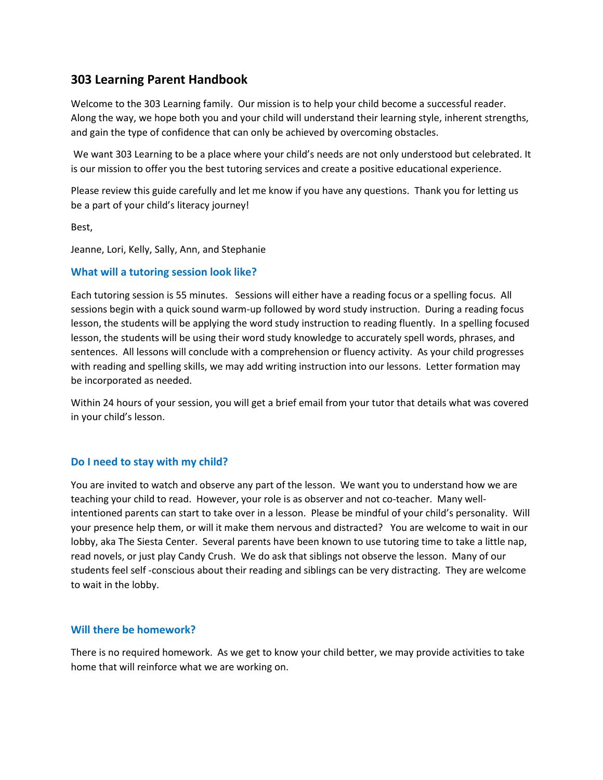## **303 Learning Parent Handbook**

Welcome to the 303 Learning family. Our mission is to help your child become a successful reader. Along the way, we hope both you and your child will understand their learning style, inherent strengths, and gain the type of confidence that can only be achieved by overcoming obstacles.

We want 303 Learning to be a place where your child's needs are not only understood but celebrated. It is our mission to offer you the best tutoring services and create a positive educational experience.

Please review this guide carefully and let me know if you have any questions. Thank you for letting us be a part of your child's literacy journey!

Best,

Jeanne, Lori, Kelly, Sally, Ann, and Stephanie

## **What will a tutoring session look like?**

Each tutoring session is 55 minutes. Sessions will either have a reading focus or a spelling focus. All sessions begin with a quick sound warm-up followed by word study instruction. During a reading focus lesson, the students will be applying the word study instruction to reading fluently. In a spelling focused lesson, the students will be using their word study knowledge to accurately spell words, phrases, and sentences. All lessons will conclude with a comprehension or fluency activity. As your child progresses with reading and spelling skills, we may add writing instruction into our lessons. Letter formation may be incorporated as needed.

Within 24 hours of your session, you will get a brief email from your tutor that details what was covered in your child's lesson.

## **Do I need to stay with my child?**

You are invited to watch and observe any part of the lesson. We want you to understand how we are teaching your child to read. However, your role is as observer and not co-teacher. Many wellintentioned parents can start to take over in a lesson. Please be mindful of your child's personality. Will your presence help them, or will it make them nervous and distracted? You are welcome to wait in our lobby, aka The Siesta Center. Several parents have been known to use tutoring time to take a little nap, read novels, or just play Candy Crush. We do ask that siblings not observe the lesson. Many of our students feel self -conscious about their reading and siblings can be very distracting. They are welcome to wait in the lobby.

## **Will there be homework?**

There is no required homework. As we get to know your child better, we may provide activities to take home that will reinforce what we are working on.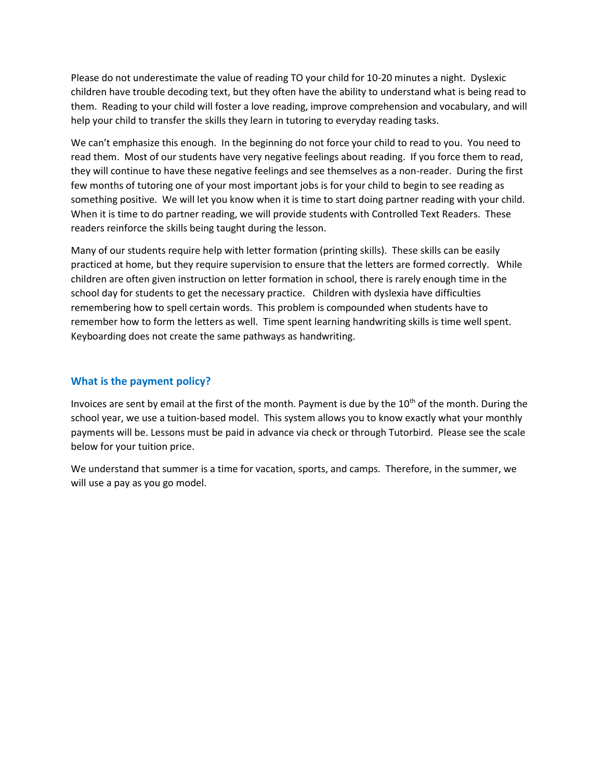Please do not underestimate the value of reading TO your child for 10-20 minutes a night. Dyslexic children have trouble decoding text, but they often have the ability to understand what is being read to them. Reading to your child will foster a love reading, improve comprehension and vocabulary, and will help your child to transfer the skills they learn in tutoring to everyday reading tasks.

We can't emphasize this enough. In the beginning do not force your child to read to you. You need to read them. Most of our students have very negative feelings about reading. If you force them to read, they will continue to have these negative feelings and see themselves as a non-reader. During the first few months of tutoring one of your most important jobs is for your child to begin to see reading as something positive. We will let you know when it is time to start doing partner reading with your child. When it is time to do partner reading, we will provide students with Controlled Text Readers. These readers reinforce the skills being taught during the lesson.

Many of our students require help with letter formation (printing skills). These skills can be easily practiced at home, but they require supervision to ensure that the letters are formed correctly. While children are often given instruction on letter formation in school, there is rarely enough time in the school day for students to get the necessary practice. Children with dyslexia have difficulties remembering how to spell certain words. This problem is compounded when students have to remember how to form the letters as well. Time spent learning handwriting skills is time well spent. Keyboarding does not create the same pathways as handwriting.

## **What is the payment policy?**

Invoices are sent by email at the first of the month. Payment is due by the 10<sup>th</sup> of the month. During the school year, we use a tuition-based model. This system allows you to know exactly what your monthly payments will be. Lessons must be paid in advance via check or through Tutorbird. Please see the scale below for your tuition price.

We understand that summer is a time for vacation, sports, and camps. Therefore, in the summer, we will use a pay as you go model.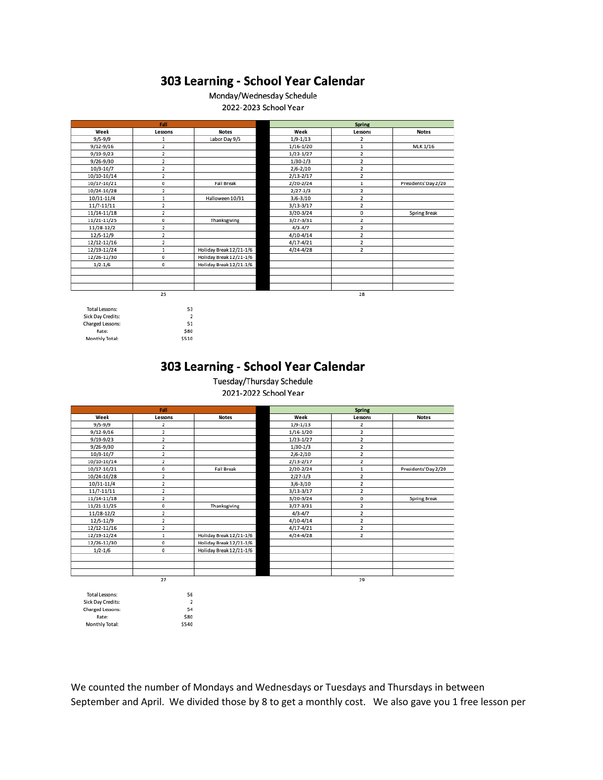# 303 Learning - School Year Calendar

## Monday/Wednesday Schedule

2022-2023 School Year

| Fall        |         |                         | <b>Spring</b> |                |                      |
|-------------|---------|-------------------------|---------------|----------------|----------------------|
| Week        | Lessons | <b>Notes</b>            | Week          | Lessons        | <b>Notes</b>         |
| $9/5 - 9/9$ | 1       | Labor Day 9/5           | $1/9 - 1/13$  | 2              |                      |
| 9/12-9/16   | 2       |                         | $1/16 - 1/20$ | 1              | MLK 1/16             |
| 9/19-9/23   | 2       |                         | $1/23-1/27$   | 2              |                      |
| 9/26-9/30   | 2       |                         | $1/30 - 2/3$  | 2              |                      |
| 10/3-10/7   | 2       |                         | $2/6 - 2/10$  | 2              |                      |
| 10/10-10/14 | 2       |                         | $2/13 - 2/17$ | 2              |                      |
| 10/17-10/21 | 0       | <b>Fall Break</b>       | 2/20-2/24     | 1              | Presidents' Day 2/20 |
| 10/24-10/28 | 2       |                         | $2/27 - 3/3$  | $\overline{2}$ |                      |
| 10/31-11/4  | 1       | Halloween 10/31         | $3/6 - 3/10$  | $\overline{2}$ |                      |
| 11/7-11/11  | 2       |                         | $3/13 - 3/17$ | $\overline{2}$ |                      |
| 11/14-11/18 | 2       |                         | 3/20-3/24     | 0              | <b>Spring Break</b>  |
| 11/21-11/25 | 0       | Thanksgiving            | $3/27 - 3/31$ | 2              |                      |
| 11/28-12/2  | 2       |                         | $4/3 - 4/7$   | 2              |                      |
| 12/5-12/9   | 2       |                         | $4/10 - 4/14$ | 2              |                      |
| 12/12-12/16 | 2       |                         | $4/17 - 4/21$ | 2              |                      |
| 12/19-12/24 | 1       | Holiday Break 12/21-1/6 | $4/24 - 4/28$ | $\overline{2}$ |                      |
| 12/26-12/30 | 0       | Holiday Break 12/21-1/6 |               |                |                      |
| $1/2 - 1/6$ | 0       | Holiday Break 12/21-1/6 |               |                |                      |
|             |         |                         |               |                |                      |
|             |         |                         |               |                |                      |
|             |         |                         |               |                |                      |
| 25          |         |                         |               | 28             |                      |
|             |         |                         |               |                |                      |

Total Lessons: Sick Day Credits: Charged Lessons:<br>Rate: Monthly Total:

 $\begin{array}{c} 53 \\ 2 \end{array}$  $51$ \$80 \$510

56<br>2

54 \$80 \$540

## 303 Learning - School Year Calendar

Tuesday/Thursday Schedule 2021-2022 School Year

| Fall          |                |                         | <b>Spring</b> |                         |                      |
|---------------|----------------|-------------------------|---------------|-------------------------|----------------------|
| Week          | Lessons        | <b>Notes</b>            | Week          | Lessons                 | <b>Notes</b>         |
| $9/5 - 9/9$   | 2              |                         | $1/9 - 1/13$  | $\overline{2}$          |                      |
| $9/12 - 9/16$ | 2              |                         | $1/16 - 1/20$ | $\overline{\mathbf{2}}$ |                      |
| $9/19 - 9/23$ | 2              |                         | $1/23-1/27$   | 2                       |                      |
| 9/26-9/30     | 2              |                         | $1/30-2/3$    | $\overline{\mathbf{2}}$ |                      |
| 10/3-10/7     | 2              |                         | $2/6 - 2/10$  | $\overline{\mathbf{2}}$ |                      |
| 10/10-10/14   | $\overline{2}$ |                         | $2/13 - 2/17$ | $\overline{\mathbf{2}}$ |                      |
| 10/17-10/21   | 0              | <b>Fall Break</b>       | $2/20 - 2/24$ | $\mathbf{1}$            | Presidents' Day 2/20 |
| 10/24-10/28   | 2              |                         | $2/27 - 3/3$  | $\overline{\mathbf{2}}$ |                      |
| 10/31-11/4    | 2              |                         | $3/6 - 3/10$  | $\overline{\mathbf{2}}$ |                      |
| 11/7-11/11    | 2              |                         | $3/13-3/17$   | $\overline{2}$          |                      |
| 11/14-11/18   | $\overline{2}$ |                         | 3/20-3/24     | 0                       | <b>Spring Break</b>  |
| 11/21-11/25   | 0              | Thanksgiving            | $3/27 - 3/31$ | $\overline{\mathbf{2}}$ |                      |
| 11/28-12/2    | 2              |                         | $4/3 - 4/7$   | $\overline{\mathbf{2}}$ |                      |
| 12/5-12/9     | 2              |                         | $4/10 - 4/14$ | $\overline{\mathbf{2}}$ |                      |
| 12/12-12/16   | 2              |                         | $4/17 - 4/21$ | $\overline{\mathbf{2}}$ |                      |
| 12/19-12/24   | 1              | Holiday Break 12/21-1/6 | $4/24 - 4/28$ | $\overline{\mathbf{2}}$ |                      |
| 12/26-12/30   | 0              | Holiday Break 12/21-1/6 |               |                         |                      |
| $1/2 - 1/6$   | 0              | Holiday Break 12/21-1/6 |               |                         |                      |
|               |                |                         |               |                         |                      |
|               |                |                         |               |                         |                      |
|               |                |                         |               |                         |                      |
|               | 27             |                         |               | 29                      |                      |

| <b>Total Lessons:</b> |  |
|-----------------------|--|
| Sick Day Credits:     |  |
| Charged Lessons:      |  |
| Rate:                 |  |
| Monthly Total:        |  |

We counted the number of Mondays and Wednesdays or Tuesdays and Thursdays in between September and April. We divided those by 8 to get a monthly cost. We also gave you 1 free lesson per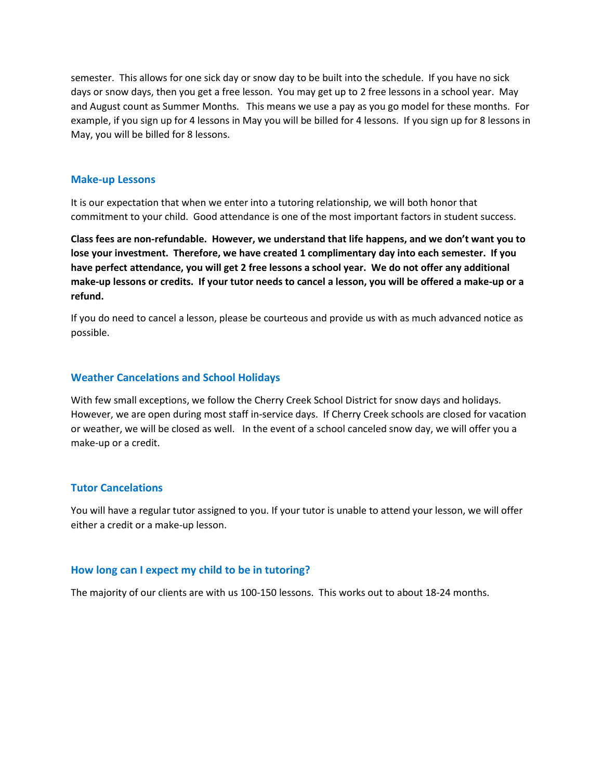semester. This allows for one sick day or snow day to be built into the schedule. If you have no sick days or snow days, then you get a free lesson. You may get up to 2 free lessons in a school year. May and August count as Summer Months. This means we use a pay as you go model for these months. For example, if you sign up for 4 lessons in May you will be billed for 4 lessons. If you sign up for 8 lessons in May, you will be billed for 8 lessons.

#### **Make-up Lessons**

It is our expectation that when we enter into a tutoring relationship, we will both honor that commitment to your child. Good attendance is one of the most important factors in student success.

**Class fees are non-refundable. However, we understand that life happens, and we don't want you to lose your investment. Therefore, we have created 1 complimentary day into each semester. If you have perfect attendance, you will get 2 free lessons a school year. We do not offer any additional make-up lessons or credits. If your tutor needs to cancel a lesson, you will be offered a make-up or a refund.** 

If you do need to cancel a lesson, please be courteous and provide us with as much advanced notice as possible.

#### **Weather Cancelations and School Holidays**

With few small exceptions, we follow the Cherry Creek School District for snow days and holidays. However, we are open during most staff in-service days. If Cherry Creek schools are closed for vacation or weather, we will be closed as well. In the event of a school canceled snow day, we will offer you a make-up or a credit.

#### **Tutor Cancelations**

You will have a regular tutor assigned to you. If your tutor is unable to attend your lesson, we will offer either a credit or a make-up lesson.

#### **How long can I expect my child to be in tutoring?**

The majority of our clients are with us 100-150 lessons. This works out to about 18-24 months.